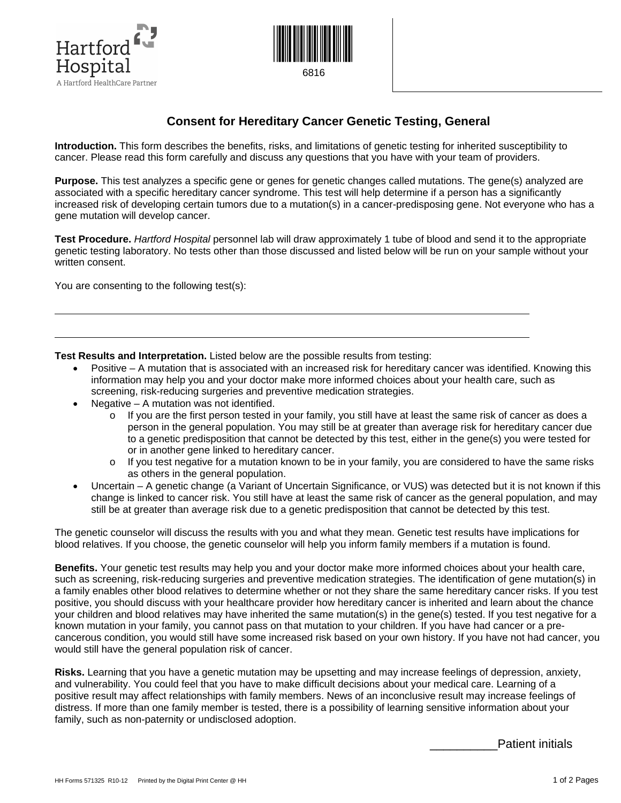



## **Consent for Hereditary Cancer Genetic Testing, General**

**Introduction.** This form describes the benefits, risks, and limitations of genetic testing for inherited susceptibility to cancer. Please read this form carefully and discuss any questions that you have with your team of providers.

**Purpose.** This test analyzes a specific gene or genes for genetic changes called mutations. The gene(s) analyzed are associated with a specific hereditary cancer syndrome. This test will help determine if a person has a significantly increased risk of developing certain tumors due to a mutation(s) in a cancer-predisposing gene. Not everyone who has a gene mutation will develop cancer.

**Test Procedure.** *Hartford Hospital* personnel lab will draw approximately 1 tube of blood and send it to the appropriate genetic testing laboratory. No tests other than those discussed and listed below will be run on your sample without your written consent.

You are consenting to the following test(s):

 $\overline{a}$ 

**Test Results and Interpretation.** Listed below are the possible results from testing:

- Positive A mutation that is associated with an increased risk for hereditary cancer was identified. Knowing this information may help you and your doctor make more informed choices about your health care, such as screening, risk-reducing surgeries and preventive medication strategies.
- Negative  $-$  A mutation was not identified.
	- o If you are the first person tested in your family, you still have at least the same risk of cancer as does a person in the general population. You may still be at greater than average risk for hereditary cancer due to a genetic predisposition that cannot be detected by this test, either in the gene(s) you were tested for or in another gene linked to hereditary cancer.
	- o If you test negative for a mutation known to be in your family, you are considered to have the same risks as others in the general population.
- Uncertain A genetic change (a Variant of Uncertain Significance, or VUS) was detected but it is not known if this change is linked to cancer risk. You still have at least the same risk of cancer as the general population, and may still be at greater than average risk due to a genetic predisposition that cannot be detected by this test.

The genetic counselor will discuss the results with you and what they mean. Genetic test results have implications for blood relatives. If you choose, the genetic counselor will help you inform family members if a mutation is found.

**Benefits.** Your genetic test results may help you and your doctor make more informed choices about your health care, such as screening, risk-reducing surgeries and preventive medication strategies. The identification of gene mutation(s) in a family enables other blood relatives to determine whether or not they share the same hereditary cancer risks. If you test positive, you should discuss with your healthcare provider how hereditary cancer is inherited and learn about the chance your children and blood relatives may have inherited the same mutation(s) in the gene(s) tested. If you test negative for a known mutation in your family, you cannot pass on that mutation to your children. If you have had cancer or a precancerous condition, you would still have some increased risk based on your own history. If you have not had cancer, you would still have the general population risk of cancer.

**Risks.** Learning that you have a genetic mutation may be upsetting and may increase feelings of depression, anxiety, and vulnerability. You could feel that you have to make difficult decisions about your medical care. Learning of a positive result may affect relationships with family members. News of an inconclusive result may increase feelings of distress. If more than one family member is tested, there is a possibility of learning sensitive information about your family, such as non-paternity or undisclosed adoption.

Patient initials